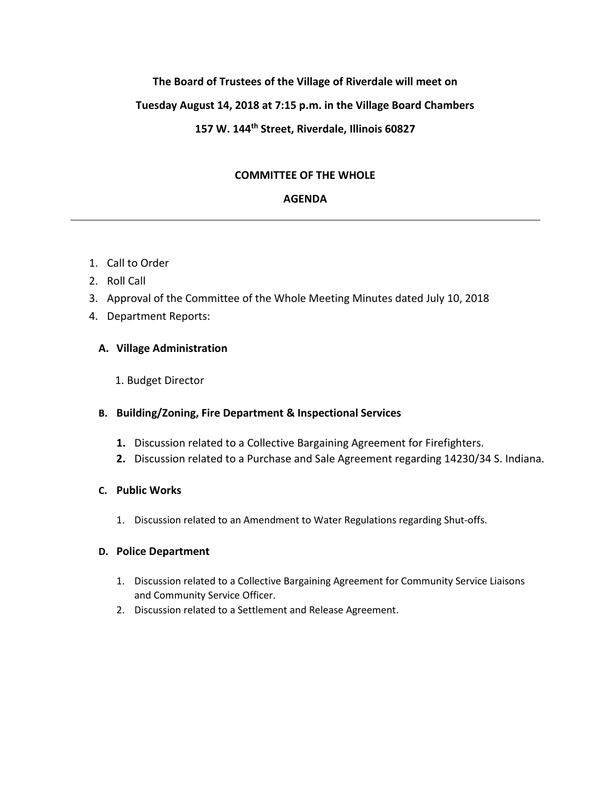## **The Board of Trustees of the Village of Riverdale will meet on**

### **Tuesday August 14, 2018 at 7:15 p.m. in the Village Board Chambers**

# **157 W. 144th Street, Riverdale, Illinois 60827**

### **COMMITTEE OF THE WHOLE**

#### **AGENDA**

- 1. Call to Order
- 2. Roll Call
- 3. Approval of the Committee of the Whole Meeting Minutes dated July 10, 2018
- 4. Department Reports:

### **A. Village Administration**

1. Budget Director

### **B. Building/Zoning, Fire Department & Inspectional Services**

- **1.** Discussion related to a Collective Bargaining Agreement for Firefighters.
- **2.** Discussion related to a Purchase and Sale Agreement regarding 14230/34 S. Indiana.

### **C. Public Works**

1. Discussion related to an Amendment to Water Regulations regarding Shut-offs.

#### **D. Police Department**

- 1. Discussion related to a Collective Bargaining Agreement for Community Service Liaisons and Community Service Officer.
- 2. Discussion related to a Settlement and Release Agreement.